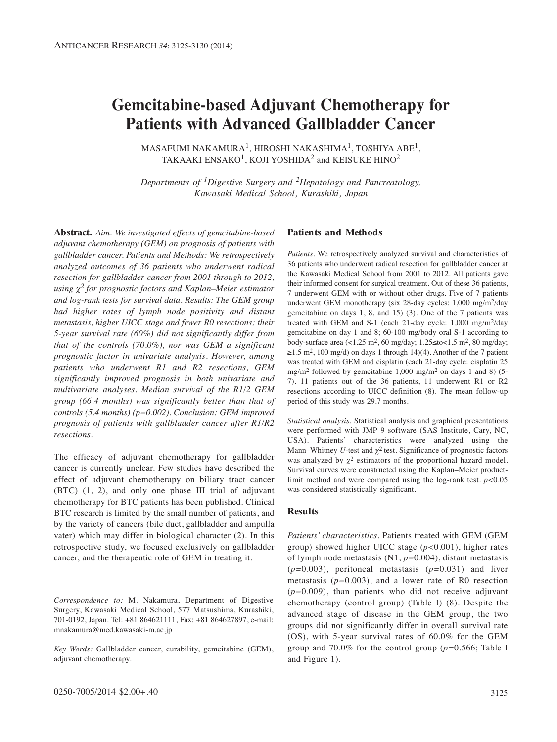# **Gemcitabine-based Adjuvant Chemotherapy for Patients with Advanced Gallbladder Cancer**

MASAFUMI NAKAMURA<sup>1</sup>, HIROSHI NAKASHIMA<sup>1</sup>, TOSHIYA ABE<sup>1</sup>, TAKAAKI ENSAKO<sup>1</sup>, KOJI YOSHIDA<sup>2</sup> and KEISUKE HINO<sup>2</sup>

*Departments of 1Digestive Surgery and 2Hepatology and Pancreatology, Kawasaki Medical School, Kurashiki, Japan*

**Abstract.** *Aim: We investigated effects of gemcitabine-based adjuvant chemotherapy (GEM) on prognosis of patients with gallbladder cancer. Patients and Methods: We retrospectively analyzed outcomes of 36 patients who underwent radical resection for gallbladder cancer from 2001 through to 2012, using χ2 for prognostic factors and Kaplan–Meier estimator and log-rank tests for survival data. Results: The GEM group had higher rates of lymph node positivity and distant metastasis, higher UICC stage and fewer R0 resections; their 5-year survival rate (60%) did not significantly differ from that of the controls (70.0%), nor was GEM a significant prognostic factor in univariate analysis. However, among patients who underwent R1 and R2 resections, GEM significantly improved prognosis in both univariate and multivariate analyses. Median survival of the R1/2 GEM group (66.4 months) was significantly better than that of controls (5.4 months) (p=0.002). Conclusion: GEM improved prognosis of patients with gallbladder cancer after R1/R2 resections.* 

The efficacy of adjuvant chemotherapy for gallbladder cancer is currently unclear. Few studies have described the effect of adjuvant chemotherapy on biliary tract cancer (BTC) (1, 2), and only one phase III trial of adjuvant chemotherapy for BTC patients has been published. Clinical BTC research is limited by the small number of patients, and by the variety of cancers (bile duct, gallbladder and ampulla vater) which may differ in biological character (2). In this retrospective study, we focused exclusively on gallbladder cancer, and the therapeutic role of GEM in treating it.

*Correspondence to:* M. Nakamura, Department of Digestive Surgery, Kawasaki Medical School, 577 Matsushima, Kurashiki, 701-0192, Japan. Tel: +81 864621111, Fax: +81 864627897, e-mail: mnakamura@med.kawasaki-m.ac.jp

*Key Words:* Gallbladder cancer, curability, gemcitabine (GEM), adjuvant chemotherapy.

### **Patients and Methods**

*Patients.* We retrospectively analyzed survival and characteristics of 36 patients who underwent radical resection for gallbladder cancer at the Kawasaki Medical School from 2001 to 2012. All patients gave their informed consent for surgical treatment. Out of these 36 patients, 7 underwent GEM with or without other drugs. Five of 7 patients underwent GEM monotherapy (six 28-day cycles: 1,000 mg/m2/day gemcitabine on days 1, 8, and 15) (3). One of the 7 patients was treated with GEM and S-1 (each 21-day cycle: 1,000 mg/m2/day gemcitabine on day 1 and 8; 60-100 mg/body oral S-1 according to body-surface area (<1.25 m2, 60 mg/day; 1.25≤to<1.5 m2, 80 mg/day;  $\geq$ 1.5 m<sup>2</sup>, 100 mg/d) on days 1 through 14)(4). Another of the 7 patient was treated with GEM and cisplatin (each 21-day cycle: cisplatin 25 mg/m<sup>2</sup> followed by gemcitabine 1,000 mg/m<sup>2</sup> on days 1 and 8) (5-7). 11 patients out of the 36 patients, 11 underwent R1 or R2 resections according to UICC definition (8). The mean follow-up period of this study was 29.7 months.

*Statistical analysis.* Statistical analysis and graphical presentations were performed with JMP 9 software (SAS Institute, Cary, NC, USA). Patients' characteristics were analyzed using the Mann–Whitney *U*-test and  $\gamma^2$  test. Significance of prognostic factors was analyzed by  $\gamma^2$  estimators of the proportional hazard model. Survival curves were constructed using the Kaplan–Meier productlimit method and were compared using the log-rank test. *p<*0.05 was considered statistically significant.

### **Results**

*Patients' characteristics.* Patients treated with GEM (GEM group) showed higher UICC stage (*p<*0.001), higher rates of lymph node metastasis (N1, *p=*0.004), distant metastasis (*p=*0.003), peritoneal metastasis (*p=*0.031) and liver metastasis (*p=*0.003), and a lower rate of R0 resection (*p=*0.009), than patients who did not receive adjuvant chemotherapy (control group) (Table I) (8). Despite the advanced stage of disease in the GEM group, the two groups did not significantly differ in overall survival rate (OS), with 5-year survival rates of 60.0% for the GEM group and 70.0% for the control group (*p=*0.566; Table I and Figure 1).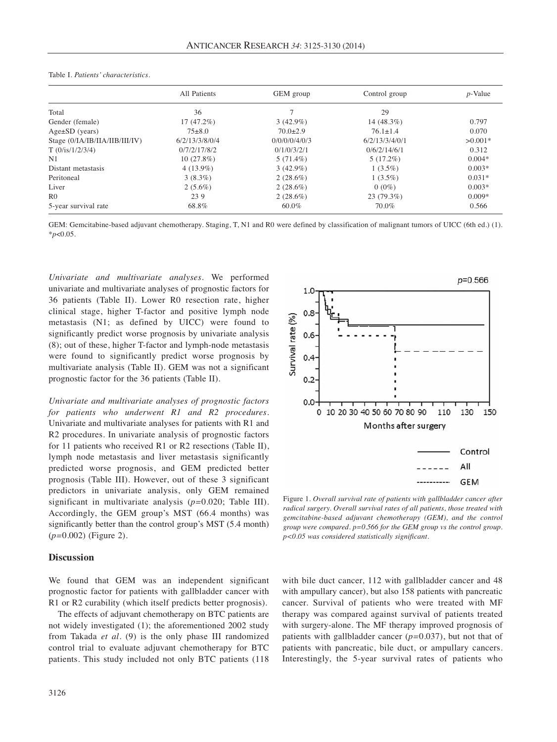|                                | All Patients   | GEM group      | Control group  | $p$ -Value |
|--------------------------------|----------------|----------------|----------------|------------|
| Total                          | 36             |                | 29             |            |
| Gender (female)                | $17(47.2\%)$   | $3(42.9\%)$    | 14 (48.3%)     | 0.797      |
| $Age \pm SD$ (years)           | $75\pm8.0$     | $70.0 \pm 2.9$ | $76.1 \pm 1.4$ | 0.070      |
| Stage (0/IA/IB/IIA/IIB/III/IV) | 6/2/13/3/8/0/4 | 0/0/0/0/4/0/3  | 6/2/13/3/4/0/1 | $>0.001*$  |
| T(0/i s/1/2/3/4)               | 0/7/2/17/8/2   | 0/1/0/3/2/1    | 0/6/2/14/6/1   | 0.312      |
| $\mathbf{N}1$                  | $10(27.8\%)$   | $5(71.4\%)$    | $5(17.2\%)$    | $0.004*$   |
| Distant metastasis             | $4(13.9\%)$    | $3(42.9\%)$    | $1(3.5\%)$     | $0.003*$   |
| Peritoneal                     | $3(8.3\%)$     | $2(28.6\%)$    | $1(3.5\%)$     | $0.031*$   |
| Liver                          | $2(5.6\%)$     | $2(28.6\%)$    | $0(0\%)$       | $0.003*$   |
| R <sub>0</sub>                 | 239            | $2(28.6\%)$    | 23(79.3%)      | $0.009*$   |
| 5-year survival rate           | 68.8%          | 60.0%          | 70.0%          | 0.566      |

Table I. *Patients' characteristics.*

GEM: Gemcitabine-based adjuvant chemotherapy. Staging, T, N1 and R0 were defined by classification of malignant tumors of UICC (6th ed.) (1). \**p*<0.05.

*Univariate and multivariate analyses.* We performed univariate and multivariate analyses of prognostic factors for 36 patients (Table II). Lower R0 resection rate, higher clinical stage, higher T-factor and positive lymph node metastasis (N1; as defined by UICC) were found to significantly predict worse prognosis by univariate analysis (8); out of these, higher T-factor and lymph-node metastasis were found to significantly predict worse prognosis by multivariate analysis (Table II). GEM was not a significant prognostic factor for the 36 patients (Table II).

*Univariate and multivariate analyses of prognostic factors for patients who underwent R1 and R2 procedures.* Univariate and multivariate analyses for patients with R1 and R2 procedures. In univariate analysis of prognostic factors for 11 patients who received R1 or R2 resections (Table II), lymph node metastasis and liver metastasis significantly predicted worse prognosis, and GEM predicted better prognosis (Table III). However, out of these 3 significant predictors in univariate analysis, only GEM remained significant in multivariate analysis (*p=*0.020; Table III). Accordingly, the GEM group's MST (66.4 months) was significantly better than the control group's MST (5.4 month) (*p=*0.002) (Figure 2).

## **Discussion**

We found that GEM was an independent significant prognostic factor for patients with gallbladder cancer with R1 or R2 curability (which itself predicts better prognosis).

The effects of adjuvant chemotherapy on BTC patients are not widely investigated (1); the aforementioned 2002 study from Takada *et al.* (9) is the only phase III randomized control trial to evaluate adjuvant chemotherapy for BTC patients. This study included not only BTC patients (118



Figure 1. *Overall survival rate of patients with gallbladder cancer after radical surgery. Overall survival rates of all patients, those treated with gemcitabine-based adjuvant chemotherapy (GEM), and the control group were compared. p=0.566 for the GEM group vs the control group. p<0.05 was considered statistically significant.*

with bile duct cancer, 112 with gallbladder cancer and 48 with ampullary cancer), but also 158 patients with pancreatic cancer. Survival of patients who were treated with MF therapy was compared against survival of patients treated with surgery-alone. The MF therapy improved prognosis of patients with gallbladder cancer (*p=*0.037), but not that of patients with pancreatic, bile duct, or ampullary cancers. Interestingly, the 5-year survival rates of patients who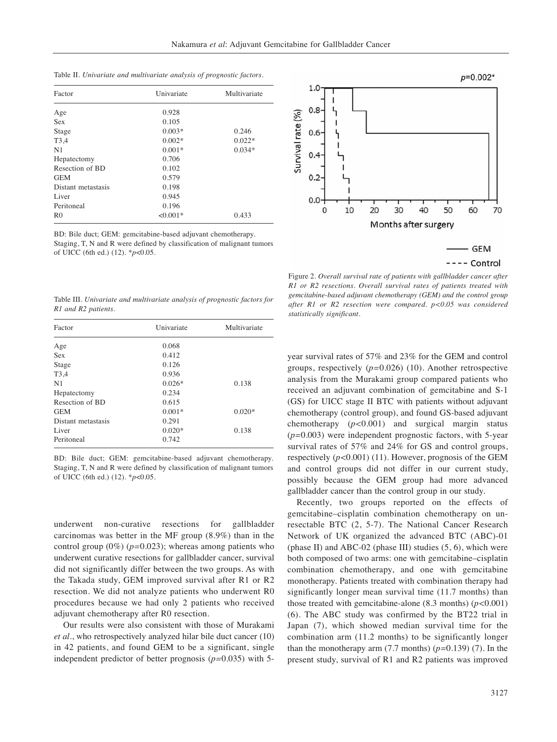Nakamura *et al*: Adjuvant Gemcitabine for Gallbladder Cancer

1.0

 $0.8$ 

 $0.6$ 

 $0.4$ 

Table II. *Univariate and multivariate analysis of prognostic factors.*

| Factor             | Univariate | Multivariate |
|--------------------|------------|--------------|
| Age                | 0.928      |              |
| <b>Sex</b>         | 0.105      |              |
| Stage              | $0.003*$   | 0.246        |
| T <sub>3</sub> ,4  | $0.002*$   | $0.022*$     |
| N <sub>1</sub>     | $0.001*$   | $0.034*$     |
| Hepatectomy        | 0.706      |              |
| Resection of BD    | 0.102      |              |
| <b>GEM</b>         | 0.579      |              |
| Distant metastasis | 0.198      |              |
| Liver              | 0.945      |              |
| Peritoneal         | 0.196      |              |
| R <sub>0</sub>     | $< 0.001*$ | 0.433        |

BD: Bile duct; GEM: gemcitabine-based adjuvant chemotherapy. Staging, T, N and R were defined by classification of malignant tumors of UICC (6th ed.) (12). \**p*<0.05.

Table III. *Univariate and multivariate analysis of prognostic factors for R1 and R2 patients.*

| Factor             | Univariate | Multivariate |
|--------------------|------------|--------------|
| Age                | 0.068      |              |
| Sex                | 0.412      |              |
| Stage              | 0.126      |              |
| T <sub>3</sub> ,4  | 0.936      |              |
| N <sub>1</sub>     | $0.026*$   | 0.138        |
| Hepatectomy        | 0.234      |              |
| Resection of BD    | 0.615      |              |
| <b>GEM</b>         | $0.001*$   | $0.020*$     |
| Distant metastasis | 0.291      |              |
| Liver              | $0.020*$   | 0.138        |
| Peritoneal         | 0.742      |              |

BD: Bile duct; GEM: gemcitabine-based adjuvant chemotherapy. Staging, T, N and R were defined by classification of malignant tumors of UICC (6th ed.) (12). \**p*<0.05.

underwent non-curative resections for gallbladder carcinomas was better in the MF group (8.9%) than in the control group (0%) (*p=*0.023); whereas among patients who underwent curative resections for gallbladder cancer, survival did not significantly differ between the two groups. As with the Takada study, GEM improved survival after R1 or R2 resection. We did not analyze patients who underwent R0 procedures because we had only 2 patients who received adjuvant chemotherapy after R0 resection.

Our results were also consistent with those of Murakami *et al.*, who retrospectively analyzed hilar bile duct cancer (10) in 42 patients, and found GEM to be a significant, single independent predictor of better prognosis (*p=*0.035) with 5-

Survival rate (%)  $0.2$  $0.0$ 10 20 30 40 50 60 Months after surgery **GEM** ---- Control Figure 2. *Overall survival rate of patients with gallbladder cancer after*

*R1 or R2 resections. Overall survival rates of patients treated with gemcitabine-based adjuvant chemotherapy (GEM) and the control group after R1 or R2 resection were compared. p<0.05 was considered statistically significant.*

year survival rates of 57% and 23% for the GEM and control groups, respectively (*p=*0.026) (10). Another retrospective analysis from the Murakami group compared patients who received an adjuvant combination of gemcitabine and S-1 (GS) for UICC stage II BTC with patients without adjuvant chemotherapy (control group), and found GS-based adjuvant chemotherapy (*p<*0.001) and surgical margin status (*p=*0.003) were independent prognostic factors, with 5-year survival rates of 57% and 24% for GS and control groups, respectively (*p<*0.001) (11). However, prognosis of the GEM and control groups did not differ in our current study, possibly because the GEM group had more advanced gallbladder cancer than the control group in our study.

Recently, two groups reported on the effects of gemcitabine–cisplatin combination chemotherapy on unresectable BTC (2, 5-7). The National Cancer Research Network of UK organized the advanced BTC (ABC)-01 (phase II) and ABC-02 (phase III) studies  $(5, 6)$ , which were both composed of two arms: one with gemcitabine–cisplatin combination chemotherapy, and one with gemcitabine monotherapy. Patients treated with combination therapy had significantly longer mean survival time (11.7 months) than those treated with gemcitabine-alone (8.3 months) (*p<*0.001) (6). The ABC study was confirmed by the BT22 trial in Japan (7), which showed median survival time for the combination arm (11.2 months) to be significantly longer than the monotherapy arm (7.7 months) (*p=*0.139) (7). In the present study, survival of R1 and R2 patients was improved

70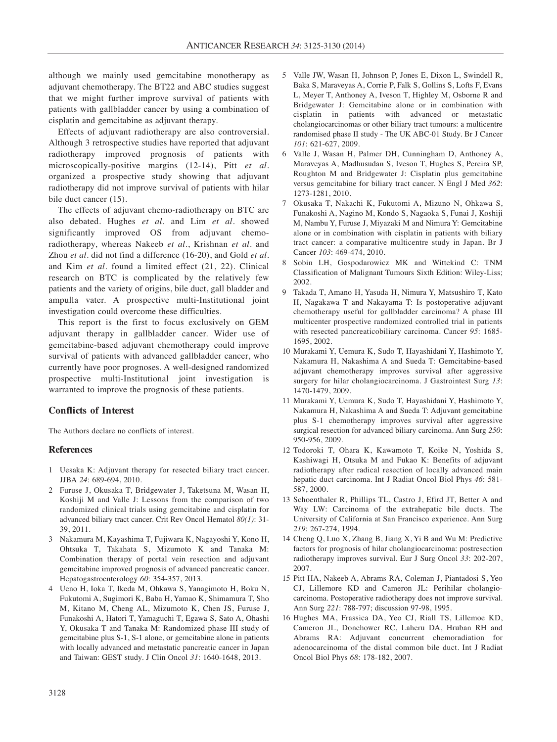although we mainly used gemcitabine monotherapy as adjuvant chemotherapy. The BT22 and ABC studies suggest that we might further improve survival of patients with patients with gallbladder cancer by using a combination of cisplatin and gemcitabine as adjuvant therapy.

Effects of adjuvant radiotherapy are also controversial. Although 3 retrospective studies have reported that adjuvant radiotherapy improved prognosis of patients with microscopically-positive margins (12-14), Pitt *et al.* organized a prospective study showing that adjuvant radiotherapy did not improve survival of patients with hilar bile duct cancer (15).

The effects of adjuvant chemo-radiotherapy on BTC are also debated. Hughes *et al.* and Lim *et al.* showed significantly improved OS from adjuvant chemoradiotherapy, whereas Nakeeb *et al.*, Krishnan *et al.* and Zhou *et al.* did not find a difference (16-20), and Gold *et al.* and Kim *et al.* found a limited effect (21, 22). Clinical research on BTC is complicated by the relatively few patients and the variety of origins, bile duct, gall bladder and ampulla vater. A prospective multi-Institutional joint investigation could overcome these difficulties.

This report is the first to focus exclusively on GEM adjuvant therapy in gallbladder cancer. Wider use of gemcitabine-based adjuvant chemotherapy could improve survival of patients with advanced gallbladder cancer, who currently have poor prognoses. A well-designed randomized prospective multi-Institutional joint investigation is warranted to improve the prognosis of these patients.

# **Conflicts of Interest**

The Authors declare no conflicts of interest.

#### **References**

- 1 Uesaka K: Adjuvant therapy for resected biliary tract cancer. JJBA *24*: 689-694, 2010.
- 2 Furuse J, Okusaka T, Bridgewater J, Taketsuna M, Wasan H, Koshiji M and Valle J: Lessons from the comparison of two randomized clinical trials using gemcitabine and cisplatin for advanced biliary tract cancer. Crit Rev Oncol Hematol *80(1)*: 31- 39, 2011.
- 3 Nakamura M, Kayashima T, Fujiwara K, Nagayoshi Y, Kono H, Ohtsuka T, Takahata S, Mizumoto K and Tanaka M: Combination therapy of portal vein resection and adjuvant gemcitabine improved prognosis of advanced pancreatic cancer. Hepatogastroenterology *60*: 354-357, 2013.
- 4 Ueno H, Ioka T, Ikeda M, Ohkawa S, Yanagimoto H, Boku N, Fukutomi A, Sugimori K, Baba H, Yamao K, Shimamura T, Sho M, Kitano M, Cheng AL, Mizumoto K, Chen JS, Furuse J, Funakoshi A, Hatori T, Yamaguchi T, Egawa S, Sato A, Ohashi Y, Okusaka T and Tanaka M: Randomized phase III study of gemcitabine plus S-1, S-1 alone, or gemcitabine alone in patients with locally advanced and metastatic pancreatic cancer in Japan and Taiwan: GEST study. J Clin Oncol *31*: 1640-1648, 2013.
- 5 Valle JW, Wasan H, Johnson P, Jones E, Dixon L, Swindell R, Baka S, Maraveyas A, Corrie P, Falk S, Gollins S, Lofts F, Evans L, Meyer T, Anthoney A, Iveson T, Highley M, Osborne R and Bridgewater J: Gemcitabine alone or in combination with cisplatin in patients with advanced or metastatic cholangiocarcinomas or other biliary tract tumours: a multicentre randomised phase II study - The UK ABC-01 Study. Br J Cancer *101*: 621-627, 2009.
- 6 Valle J, Wasan H, Palmer DH, Cunningham D, Anthoney A, Maraveyas A, Madhusudan S, Iveson T, Hughes S, Pereira SP, Roughton M and Bridgewater J: Cisplatin plus gemcitabine versus gemcitabine for biliary tract cancer. N Engl J Med *362*: 1273-1281, 2010.
- 7 Okusaka T, Nakachi K, Fukutomi A, Mizuno N, Ohkawa S, Funakoshi A, Nagino M, Kondo S, Nagaoka S, Funai J, Koshiji M, Nambu Y, Furuse J, Miyazaki M and Nimura Y: Gemcitabine alone or in combination with cisplatin in patients with biliary tract cancer: a comparative multicentre study in Japan. Br J Cancer *103*: 469-474, 2010.
- 8 Sobin LH, Gospodarowicz MK and Wittekind C: TNM Classification of Malignant Tumours Sixth Edition: Wiley-Liss; 2002.
- 9 Takada T, Amano H, Yasuda H, Nimura Y, Matsushiro T, Kato H, Nagakawa T and Nakayama T: Is postoperative adjuvant chemotherapy useful for gallbladder carcinoma? A phase III multicenter prospective randomized controlled trial in patients with resected pancreaticobiliary carcinoma. Cancer *95*: 1685- 1695, 2002.
- 10 Murakami Y, Uemura K, Sudo T, Hayashidani Y, Hashimoto Y, Nakamura H, Nakashima A and Sueda T: Gemcitabine-based adjuvant chemotherapy improves survival after aggressive surgery for hilar cholangiocarcinoma. J Gastrointest Surg *13*: 1470-1479, 2009.
- 11 Murakami Y, Uemura K, Sudo T, Hayashidani Y, Hashimoto Y, Nakamura H, Nakashima A and Sueda T: Adjuvant gemcitabine plus S-1 chemotherapy improves survival after aggressive surgical resection for advanced biliary carcinoma. Ann Surg *250*: 950-956, 2009.
- 12 Todoroki T, Ohara K, Kawamoto T, Koike N, Yoshida S, Kashiwagi H, Otsuka M and Fukao K: Benefits of adjuvant radiotherapy after radical resection of locally advanced main hepatic duct carcinoma. Int J Radiat Oncol Biol Phys *46*: 581- 587, 2000.
- 13 Schoenthaler R, Phillips TL, Castro J, Efird JT, Better A and Way LW: Carcinoma of the extrahepatic bile ducts. The University of California at San Francisco experience. Ann Surg *219*: 267-274, 1994.
- 14 Cheng Q, Luo X, Zhang B, Jiang X, Yi B and Wu M: Predictive factors for prognosis of hilar cholangiocarcinoma: postresection radiotherapy improves survival. Eur J Surg Oncol *33*: 202-207, 2007.
- 15 Pitt HA, Nakeeb A, Abrams RA, Coleman J, Piantadosi S, Yeo CJ, Lillemore KD and Cameron JL: Perihilar cholangiocarcinoma. Postoperative radiotherapy does not improve survival. Ann Surg *221*: 788-797; discussion 97-98, 1995.
- 16 Hughes MA, Frassica DA, Yeo CJ, Riall TS, Lillemoe KD, Cameron JL, Donehower RC, Laheru DA, Hruban RH and Abrams RA: Adjuvant concurrent chemoradiation for adenocarcinoma of the distal common bile duct. Int J Radiat Oncol Biol Phys *68*: 178-182, 2007.